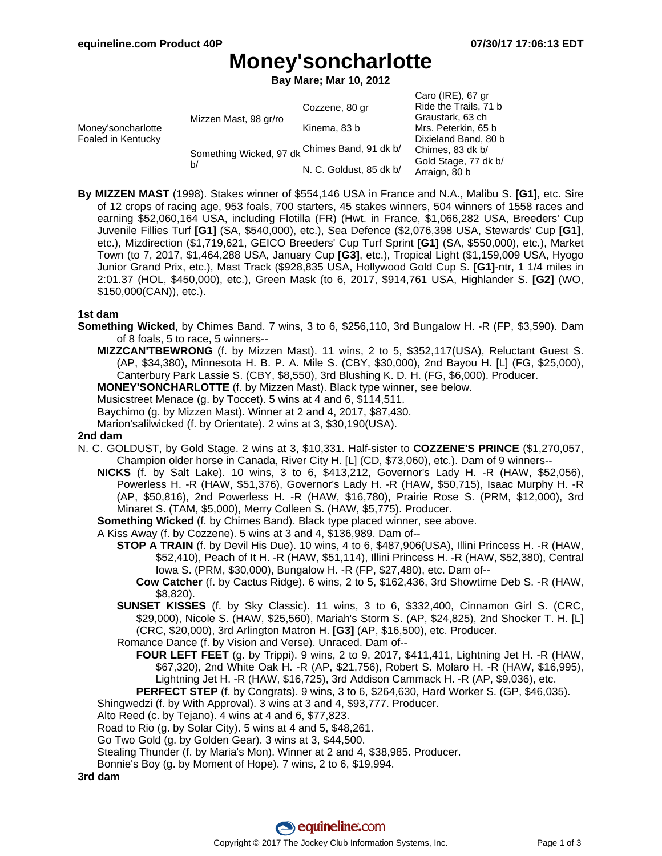$Care (IDF)$ , 67 ar

## **Money'soncharlotte**

**Bay Mare; Mar 10, 2012**

|                                          |                                                     |                         | $U$ div $(IRE)$ , or gi |
|------------------------------------------|-----------------------------------------------------|-------------------------|-------------------------|
| Money'soncharlotte<br>Foaled in Kentucky | Mizzen Mast, 98 gr/ro                               | Cozzene, 80 gr          | Ride the Trails, 71 b   |
|                                          |                                                     |                         | Graustark, 63 ch        |
|                                          |                                                     | Kinema, 83 b            | Mrs. Peterkin, 65 b     |
|                                          |                                                     |                         | Dixieland Band, 80 b    |
|                                          | Something Wicked, 97 dk Chimes Band, 91 dk b/<br>b/ |                         | Chimes, 83 dk b/        |
|                                          |                                                     | N. C. Goldust, 85 dk b/ | Gold Stage, 77 dk b/    |
|                                          |                                                     |                         | Arraign, 80 b           |

**By MIZZEN MAST** (1998). Stakes winner of \$554,146 USA in France and N.A., Malibu S. **[G1]**, etc. Sire of 12 crops of racing age, 953 foals, 700 starters, 45 stakes winners, 504 winners of 1558 races and earning \$52,060,164 USA, including Flotilla (FR) (Hwt. in France, \$1,066,282 USA, Breeders' Cup Juvenile Fillies Turf **[G1]** (SA, \$540,000), etc.), Sea Defence (\$2,076,398 USA, Stewards' Cup **[G1]**, etc.), Mizdirection (\$1,719,621, GEICO Breeders' Cup Turf Sprint **[G1]** (SA, \$550,000), etc.), Market Town (to 7, 2017, \$1,464,288 USA, January Cup **[G3]**, etc.), Tropical Light (\$1,159,009 USA, Hyogo Junior Grand Prix, etc.), Mast Track (\$928,835 USA, Hollywood Gold Cup S. **[G1]**-ntr, 1 1/4 miles in 2:01.37 (HOL, \$450,000), etc.), Green Mask (to 6, 2017, \$914,761 USA, Highlander S. **[G2]** (WO, \$150,000(CAN)), etc.).

### **1st dam**

- **Something Wicked**, by Chimes Band. 7 wins, 3 to 6, \$256,110, 3rd Bungalow H. -R (FP, \$3,590). Dam of 8 foals, 5 to race, 5 winners--
	- **MIZZCAN'TBEWRONG** (f. by Mizzen Mast). 11 wins, 2 to 5, \$352,117(USA), Reluctant Guest S. (AP, \$34,380), Minnesota H. B. P. A. Mile S. (CBY, \$30,000), 2nd Bayou H. [L] (FG, \$25,000), Canterbury Park Lassie S. (CBY, \$8,550), 3rd Blushing K. D. H. (FG, \$6,000). Producer.

**MONEY'SONCHARLOTTE** (f. by Mizzen Mast). Black type winner, see below.

Musicstreet Menace (g. by Toccet). 5 wins at 4 and 6, \$114,511.

Baychimo (g. by Mizzen Mast). Winner at 2 and 4, 2017, \$87,430.

Marion'salilwicked (f. by Orientate). 2 wins at 3, \$30,190(USA).

### **2nd dam**

- N. C. GOLDUST, by Gold Stage. 2 wins at 3, \$10,331. Half-sister to **COZZENE'S PRINCE** (\$1,270,057, Champion older horse in Canada, River City H. [L] (CD, \$73,060), etc.). Dam of 9 winners--
	- **NICKS** (f. by Salt Lake). 10 wins, 3 to 6, \$413,212, Governor's Lady H. -R (HAW, \$52,056), Powerless H. -R (HAW, \$51,376), Governor's Lady H. -R (HAW, \$50,715), Isaac Murphy H. -R (AP, \$50,816), 2nd Powerless H. -R (HAW, \$16,780), Prairie Rose S. (PRM, \$12,000), 3rd Minaret S. (TAM, \$5,000), Merry Colleen S. (HAW, \$5,775). Producer.

**Something Wicked** (f. by Chimes Band). Black type placed winner, see above.

A Kiss Away (f. by Cozzene). 5 wins at 3 and 4, \$136,989. Dam of--

- **STOP A TRAIN** (f. by Devil His Due). 10 wins, 4 to 6, \$487,906(USA), Illini Princess H. -R (HAW, \$52,410), Peach of It H. -R (HAW, \$51,114), Illini Princess H. -R (HAW, \$52,380), Central Iowa S. (PRM, \$30,000), Bungalow H. -R (FP, \$27,480), etc. Dam of--
	- **Cow Catcher** (f. by Cactus Ridge). 6 wins, 2 to 5, \$162,436, 3rd Showtime Deb S. -R (HAW, \$8,820).
- **SUNSET KISSES** (f. by Sky Classic). 11 wins, 3 to 6, \$332,400, Cinnamon Girl S. (CRC, \$29,000), Nicole S. (HAW, \$25,560), Mariah's Storm S. (AP, \$24,825), 2nd Shocker T. H. [L] (CRC, \$20,000), 3rd Arlington Matron H. **[G3]** (AP, \$16,500), etc. Producer.
- Romance Dance (f. by Vision and Verse). Unraced. Dam of--
	- **FOUR LEFT FEET** (g. by Trippi). 9 wins, 2 to 9, 2017, \$411,411, Lightning Jet H. -R (HAW, \$67,320), 2nd White Oak H. -R (AP, \$21,756), Robert S. Molaro H. -R (HAW, \$16,995), Lightning Jet H. -R (HAW, \$16,725), 3rd Addison Cammack H. -R (AP, \$9,036), etc.
	- **PERFECT STEP** (f. by Congrats). 9 wins, 3 to 6, \$264,630, Hard Worker S. (GP, \$46,035).
- Shingwedzi (f. by With Approval). 3 wins at 3 and 4, \$93,777. Producer.
- Alto Reed (c. by Tejano). 4 wins at 4 and 6, \$77,823.

Road to Rio (g. by Solar City). 5 wins at 4 and 5, \$48,261.

Go Two Gold (g. by Golden Gear). 3 wins at 3, \$44,500.

- Stealing Thunder (f. by Maria's Mon). Winner at 2 and 4, \$38,985. Producer.
- Bonnie's Boy (g. by Moment of Hope). 7 wins, 2 to 6, \$19,994.

**3rd dam**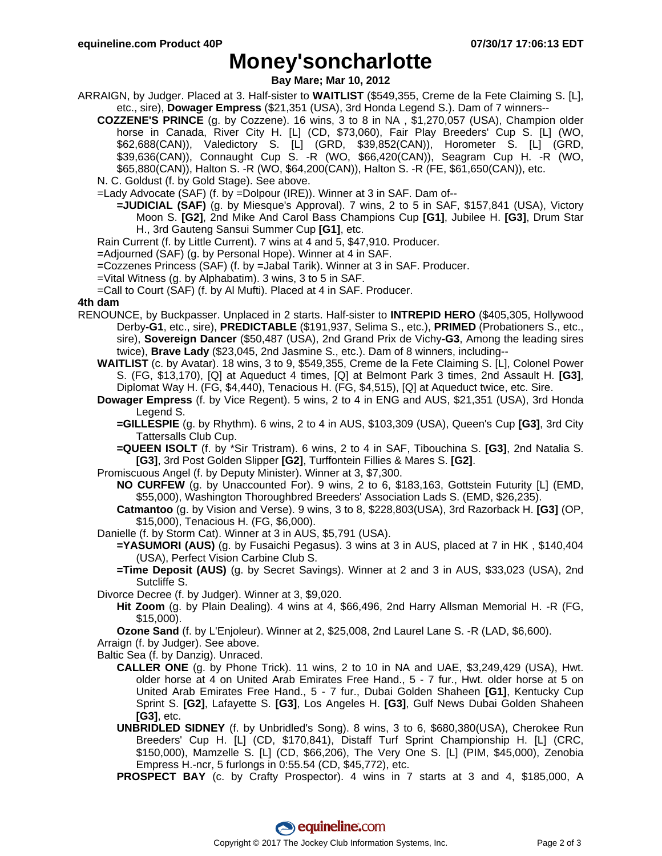### **Money'soncharlotte**

**Bay Mare; Mar 10, 2012**

- ARRAIGN, by Judger. Placed at 3. Half-sister to **WAITLIST** (\$549,355, Creme de la Fete Claiming S. [L], etc., sire), **Dowager Empress** (\$21,351 (USA), 3rd Honda Legend S.). Dam of 7 winners--
	- **COZZENE'S PRINCE** (g. by Cozzene). 16 wins, 3 to 8 in NA , \$1,270,057 (USA), Champion older horse in Canada, River City H. [L] (CD, \$73,060), Fair Play Breeders' Cup S. [L] (WO, \$62,688(CAN)), Valedictory S. [L] (GRD, \$39,852(CAN)), Horometer S. [L] (GRD, \$39,636(CAN)), Connaught Cup S. -R (WO, \$66,420(CAN)), Seagram Cup H. -R (WO, \$65,880(CAN)), Halton S. -R (WO, \$64,200(CAN)), Halton S. -R (FE, \$61,650(CAN)), etc.
	- N. C. Goldust (f. by Gold Stage). See above.
	- =Lady Advocate (SAF) (f. by =Dolpour (IRE)). Winner at 3 in SAF. Dam of--
		- **=JUDICIAL (SAF)** (g. by Miesque's Approval). 7 wins, 2 to 5 in SAF, \$157,841 (USA), Victory Moon S. **[G2]**, 2nd Mike And Carol Bass Champions Cup **[G1]**, Jubilee H. **[G3]**, Drum Star H., 3rd Gauteng Sansui Summer Cup **[G1]**, etc.
	- Rain Current (f. by Little Current). 7 wins at 4 and 5, \$47,910. Producer.
	- =Adjourned (SAF) (g. by Personal Hope). Winner at 4 in SAF.
	- =Cozzenes Princess (SAF) (f. by =Jabal Tarik). Winner at 3 in SAF. Producer.
	- =Vital Witness (g. by Alphabatim). 3 wins, 3 to 5 in SAF.
	- =Call to Court (SAF) (f. by Al Mufti). Placed at 4 in SAF. Producer.

### **4th dam**

- RENOUNCE, by Buckpasser. Unplaced in 2 starts. Half-sister to **INTREPID HERO** (\$405,305, Hollywood Derby**-G1**, etc., sire), **PREDICTABLE** (\$191,937, Selima S., etc.), **PRIMED** (Probationers S., etc., sire), **Sovereign Dancer** (\$50,487 (USA), 2nd Grand Prix de Vichy**-G3**, Among the leading sires twice), **Brave Lady** (\$23,045, 2nd Jasmine S., etc.). Dam of 8 winners, including--
	- **WAITLIST** (c. by Avatar). 18 wins, 3 to 9, \$549,355, Creme de la Fete Claiming S. [L], Colonel Power S. (FG, \$13,170), [Q] at Aqueduct 4 times, [Q] at Belmont Park 3 times, 2nd Assault H. **[G3]**, Diplomat Way H. (FG, \$4,440), Tenacious H. (FG, \$4,515), [Q] at Aqueduct twice, etc. Sire.
	- **Dowager Empress** (f. by Vice Regent). 5 wins, 2 to 4 in ENG and AUS, \$21,351 (USA), 3rd Honda Legend S.
		- **=GILLESPIE** (g. by Rhythm). 6 wins, 2 to 4 in AUS, \$103,309 (USA), Queen's Cup **[G3]**, 3rd City Tattersalls Club Cup.
		- **=QUEEN ISOLT** (f. by \*Sir Tristram). 6 wins, 2 to 4 in SAF, Tibouchina S. **[G3]**, 2nd Natalia S. **[G3]**, 3rd Post Golden Slipper **[G2]**, Turffontein Fillies & Mares S. **[G2]**.
	- Promiscuous Angel (f. by Deputy Minister). Winner at 3, \$7,300.
		- **NO CURFEW** (g. by Unaccounted For). 9 wins, 2 to 6, \$183,163, Gottstein Futurity [L] (EMD, \$55,000), Washington Thoroughbred Breeders' Association Lads S. (EMD, \$26,235).
		- **Catmantoo** (g. by Vision and Verse). 9 wins, 3 to 8, \$228,803(USA), 3rd Razorback H. **[G3]** (OP, \$15,000), Tenacious H. (FG, \$6,000).
	- Danielle (f. by Storm Cat). Winner at 3 in AUS, \$5,791 (USA).
		- **=YASUMORI (AUS)** (g. by Fusaichi Pegasus). 3 wins at 3 in AUS, placed at 7 in HK , \$140,404 (USA), Perfect Vision Carbine Club S.
		- **=Time Deposit (AUS)** (g. by Secret Savings). Winner at 2 and 3 in AUS, \$33,023 (USA), 2nd Sutcliffe S.
	- Divorce Decree (f. by Judger). Winner at 3, \$9,020.
		- **Hit Zoom** (g. by Plain Dealing). 4 wins at 4, \$66,496, 2nd Harry Allsman Memorial H. -R (FG, \$15,000).
		- **Ozone Sand** (f. by L'Enjoleur). Winner at 2, \$25,008, 2nd Laurel Lane S. -R (LAD, \$6,600).
	- Arraign (f. by Judger). See above.
	- Baltic Sea (f. by Danzig). Unraced.
		- **CALLER ONE** (g. by Phone Trick). 11 wins, 2 to 10 in NA and UAE, \$3,249,429 (USA), Hwt. older horse at 4 on United Arab Emirates Free Hand., 5 - 7 fur., Hwt. older horse at 5 on United Arab Emirates Free Hand., 5 - 7 fur., Dubai Golden Shaheen **[G1]**, Kentucky Cup Sprint S. **[G2]**, Lafayette S. **[G3]**, Los Angeles H. **[G3]**, Gulf News Dubai Golden Shaheen **[G3]**, etc.
		- **UNBRIDLED SIDNEY** (f. by Unbridled's Song). 8 wins, 3 to 6, \$680,380(USA), Cherokee Run Breeders' Cup H. [L] (CD, \$170,841), Distaff Turf Sprint Championship H. [L] (CRC, \$150,000), Mamzelle S. [L] (CD, \$66,206), The Very One S. [L] (PIM, \$45,000), Zenobia Empress H.-ncr, 5 furlongs in 0:55.54 (CD, \$45,772), etc.
		- **PROSPECT BAY** (c. by Crafty Prospector). 4 wins in 7 starts at 3 and 4, \$185,000, A